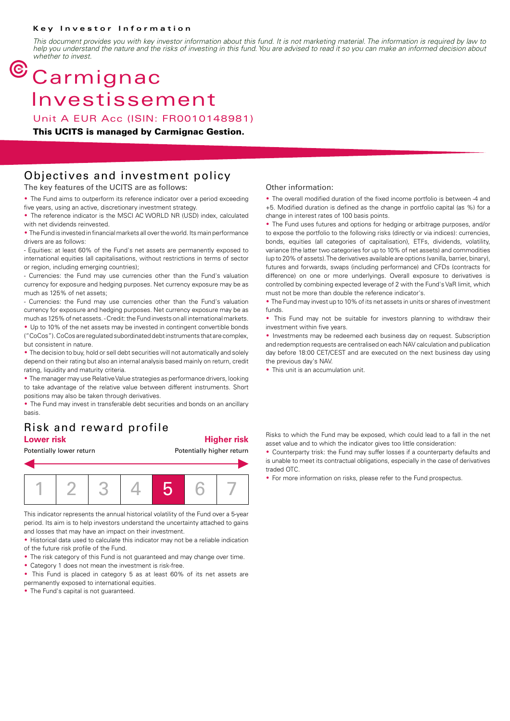#### **Key Investor Information**

*This document provides you with key investor information about this fund. It is not marketing material. The information is required by law to help you understand the nature and the risks of investing in this fund. You are advised to read it so you can make an informed decision about whether to invest.*

# $<sup>©</sup> Carmignac$ </sup> Investissement

Unit A EUR Acc (ISIN: FR0010148981)

#### **This UCITS is managed by Carmignac Gestion.**

### Objectives and investment policy

The key features of the UCITS are as follows:

• The Fund aims to outperform its reference indicator over a period exceeding five years, using an active, discretionary investment strategy.

• The reference indicator is the MSCI AC WORLD NR (USD) index, calculated with net dividends reinvested.

• The Fund is invested in financial markets all over the world. Its main performance drivers are as follows:

- Equities: at least 60% of the Fund's net assets are permanently exposed to international equities (all capitalisations, without restrictions in terms of sector or region, including emerging countries);

- Currencies: the Fund may use currencies other than the Fund's valuation currency for exposure and hedging purposes. Net currency exposure may be as much as 125% of net assets;

- Currencies: the Fund may use currencies other than the Fund's valuation currency for exposure and hedging purposes. Net currency exposure may be as much as 125% of net assets. - Credit: the Fund invests on all international markets.

2 Up to 10% of the net assets may be invested in contingent convertible bonds ("CoCos"). CoCos are regulated subordinated debt instruments that are complex, but consistent in nature.

• The decision to buy, hold or sell debt securities will not automatically and solely depend on their rating but also an internal analysis based mainly on return, credit rating, liquidity and maturity criteria.

• The manager may use Relative Value strategies as performance drivers, looking to take advantage of the relative value between different instruments. Short positions may also be taken through derivatives.

• The Fund may invest in transferable debt securities and bonds on an ancillary basis.

### Risk and reward profile **Lower risk Higher risk**

Potentially lower return **Potentially higher return** 



This indicator represents the annual historical volatility of the Fund over a 5-year period. Its aim is to help investors understand the uncertainty attached to gains and losses that may have an impact on their investment.

• Historical data used to calculate this indicator may not be a reliable indication of the future risk profile of the Fund.

- The risk category of this Fund is not guaranteed and may change over time.
- Category 1 does not mean the investment is risk-free.

• This Fund is placed in category 5 as at least 60% of its net assets are permanently exposed to international equities.

• The Fund's capital is not guaranteed.

#### Other information:

• The overall modified duration of the fixed income portfolio is between -4 and +5. Modified duration is defined as the change in portfolio capital (as %) for a change in interest rates of 100 basis points.

• The Fund uses futures and options for hedging or arbitrage purposes, and/or to expose the portfolio to the following risks (directly or via indices): currencies, bonds, equities (all categories of capitalisation), ETFs, dividends, volatility, variance (the latter two categories for up to 10% of net assets) and commodities (up to 20% of assets). The derivatives available are options (vanilla, barrier, binary), futures and forwards, swaps (including performance) and CFDs (contracts for difference) on one or more underlyings. Overall exposure to derivatives is controlled by combining expected leverage of 2 with the Fund's VaR limit, which must not be more than double the reference indicator's.

• The Fund may invest up to 10% of its net assets in units or shares of investment funds.

• This Fund may not be suitable for investors planning to withdraw their investment within five years.

• Investments may be redeemed each business day on request. Subscription and redemption requests are centralised on each NAV calculation and publication day before 18:00 CET/CEST and are executed on the next business day using the previous day's NAV.

• This unit is an accumulation unit.

Risks to which the Fund may be exposed, which could lead to a fall in the net asset value and to which the indicator gives too little consideration:

• Counterparty trisk: the Fund may suffer losses if a counterparty defaults and is unable to meet its contractual obligations, especially in the case of derivatives traded OTC.

• For more information on risks, please refer to the Fund prospectus.